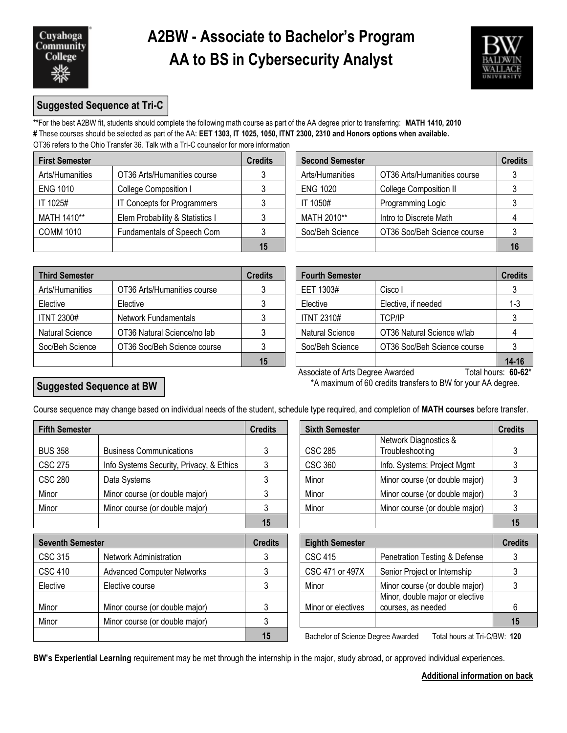

## **A2BW - Associate to Bachelor's Program AA to BS in Cybersecurity Analyst**



## **Suggested Sequence at Tri-C**

**\*\***For the best A2BW fit, students should complete the following math course as part of the AA degree prior to transferring: **MATH 1410, 2010 #** These courses should be selected as part of the AA: **EET 1303, IT 1025, 1050, ITNT 2300, 2310 and Honors options when available.**  OT36 refers to the Ohio Transfer 36. Talk with a Tri-C counselor for more information

| <b>First Semester</b> |                                 | <b>Credits</b> | <b>Second Semester</b> |                               |  |
|-----------------------|---------------------------------|----------------|------------------------|-------------------------------|--|
| Arts/Humanities       | OT36 Arts/Humanities course     |                | Arts/Humanities        | OT36 Arts/Humanities course   |  |
| <b>ENG 1010</b>       | College Composition I           |                | <b>ENG 1020</b>        | <b>College Composition II</b> |  |
| IT 1025#              | IT Concepts for Programmers     |                | IT 1050#               | Programming Logic             |  |
| MATH 1410**           | Elem Probability & Statistics I |                | MATH 2010**            | Intro to Discrete Math        |  |
| <b>COMM 1010</b>      | Fundamentals of Speech Com      |                | Soc/Beh Science        | OT36 Soc/Beh Science course   |  |
|                       |                                 | 15             |                        |                               |  |

| dits | <b>Second Semester</b> |                               | <b>Credits</b> |
|------|------------------------|-------------------------------|----------------|
| 3    | Arts/Humanities        | OT36 Arts/Humanities course   |                |
| 3    | <b>ENG 1020</b>        | <b>College Composition II</b> |                |
| 3    | IT 1050#               | Programming Logic             |                |
| 3    | MATH 2010**            | Intro to Discrete Math        |                |
| 3    | Soc/Beh Science        | OT36 Soc/Beh Science course   |                |
| 15   |                        |                               |                |

| <b>Third Semester</b>  |                             | <b>Credits</b> | <b>Fourth Semester</b> |                             | <b>Credits</b> |  |
|------------------------|-----------------------------|----------------|------------------------|-----------------------------|----------------|--|
| Arts/Humanities        | OT36 Arts/Humanities course |                | EET 1303#              | Cisco I                     |                |  |
| Elective               | Elective                    |                | Elective               | Elective, if needed         | 1-3            |  |
| <b>ITNT 2300#</b>      | Network Fundamentals        |                | ITNT 2310#             | <b>TCP/IP</b>               |                |  |
| <b>Natural Science</b> | OT36 Natural Science/no lab |                | <b>Natural Science</b> | OT36 Natural Science w/lab  |                |  |
| Soc/Beh Science        | OT36 Soc/Beh Science course |                | Soc/Beh Science        | OT36 Soc/Beh Science course |                |  |
|                        |                             | 15             |                        |                             | $14 - 16$      |  |

| dits           | <b>Fourth Semester</b> |                             | <b>Credits</b> |
|----------------|------------------------|-----------------------------|----------------|
| $\mathfrak{3}$ | EET 1303#              | Cisco I                     |                |
| 3              | Elective               | Elective, if needed         | $1 - 3$        |
| $\mathbf{3}$   | <b>ITNT 2310#</b>      | <b>TCP/IP</b>               |                |
| 3              | <b>Natural Science</b> | OT36 Natural Science w/lab  |                |
| $\mathbf{3}$   | Soc/Beh Science        | OT36 Soc/Beh Science course |                |
| 15             |                        |                             | 14-16          |

## **Suggested Sequence at BW**

Associate of Arts Degree Awarded Total hours: **60-62**\* \*A maximum of 60 credits transfers to BW for your AA degree.

| Course sequence may change based on individual needs of the student, schedule type required, and completion of MATH courses before transfer. |  |  |  |  |  |
|----------------------------------------------------------------------------------------------------------------------------------------------|--|--|--|--|--|
|----------------------------------------------------------------------------------------------------------------------------------------------|--|--|--|--|--|

| <b>Fifth Semester</b> |                | <b>Credits</b>                           | <b>Sixth Semester</b> |                | <b>Credits</b>                           |    |
|-----------------------|----------------|------------------------------------------|-----------------------|----------------|------------------------------------------|----|
|                       | <b>BUS 358</b> | <b>Business Communications</b>           | ົ                     | <b>CSC 285</b> | Network Diagnostics &<br>Troubleshooting |    |
|                       | <b>CSC 275</b> | Info Systems Security, Privacy, & Ethics |                       | <b>CSC 360</b> | Info. Systems: Project Mgmt              |    |
|                       | <b>CSC 280</b> | Data Systems                             |                       | Minor          | Minor course (or double major)           |    |
|                       | Minor          | Minor course (or double major)           |                       | Minor          | Minor course (or double major)           |    |
|                       | Minor          | Minor course (or double major)           |                       | Minor          | Minor course (or double major)           |    |
|                       |                |                                          | 15                    |                |                                          | 15 |

| <b>Seventh Semester</b> |                                   | <b>Credits</b> | <b>Eighth Semester</b>                                             |                                                       |  |
|-------------------------|-----------------------------------|----------------|--------------------------------------------------------------------|-------------------------------------------------------|--|
| <b>CSC 315</b>          | <b>Network Administration</b>     |                | <b>CSC 415</b>                                                     | Penetration Testing & Defense                         |  |
| <b>CSC 410</b>          | <b>Advanced Computer Networks</b> |                | CSC 471 or 497X                                                    | Senior Project or Internship                          |  |
| Elective                | Elective course                   |                | Minor                                                              | Minor course (or double major)                        |  |
| Minor                   | Minor course (or double major)    |                | Minor or electives                                                 | Minor, double major or elective<br>courses, as needed |  |
| Minor                   | Minor course (or double major)    |                |                                                                    |                                                       |  |
|                         |                                   | 15             | Bachelor of Science Degree Awarded<br>Total hours at Tri-C/BW: 120 |                                                       |  |

| dits | <b>Sixth Semester</b> |                                          | <b>Credits</b> |
|------|-----------------------|------------------------------------------|----------------|
| 3    | <b>CSC 285</b>        | Network Diagnostics &<br>Troubleshooting | 3              |
| 3    | <b>CSC 360</b>        | Info. Systems: Project Mgmt              |                |
| 3    | Minor                 | Minor course (or double major)           |                |
| 3    | Minor                 | Minor course (or double major)           |                |
| 3    | Minor                 | Minor course (or double major)           |                |
| 15   |                       |                                          | 15             |

| <b>Eighth Semester</b> |                                                       | <b>Credits</b> |
|------------------------|-------------------------------------------------------|----------------|
| <b>CSC 415</b>         | Penetration Testing & Defense                         |                |
| CSC 471 or 497X        | Senior Project or Internship                          |                |
| Minor                  | Minor course (or double major)                        |                |
| Minor or electives     | Minor, double major or elective<br>courses, as needed | հ              |
|                        |                                                       | 15             |

**15** Bachelor of Science Degree Awarded Total hours at Tri-C/BW: **120**

**BW's Experiential Learning** requirement may be met through the internship in the major, study abroad, or approved individual experiences.

**Additional information on back**